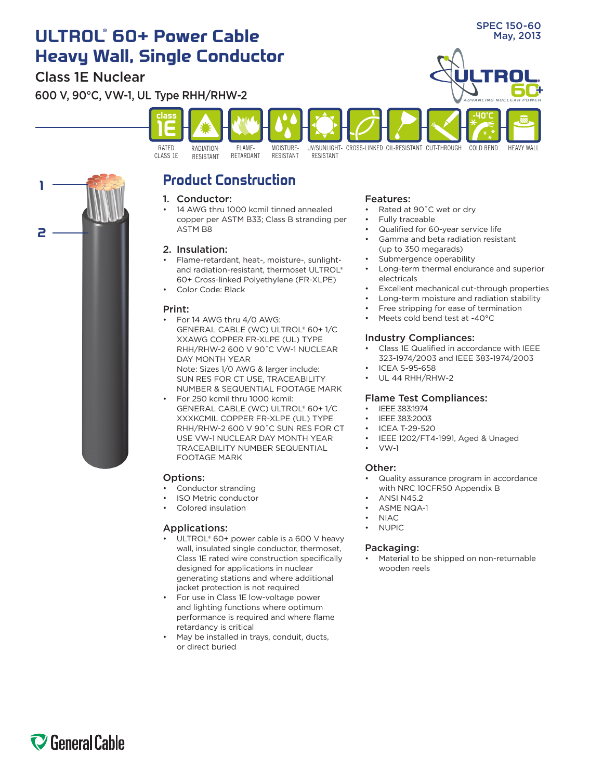# **ADVANCING NUCLEAR POWER** RADIATION**class 1E** RATED FLAME-MOISTURE-**-40˚C ULTROL** May, 2013 **® 60+ Power Cable Heavy Wall, Single Conductor** Class 1E Nuclear 600 V, 90°C, VW-1, UL Type RHH/RHW-2

RESISTANT

RESISTANT



# **Product Construction**

RETARDANT

# 1. Conductor:

RESISTANT

CLASS 1E

14 AWG thru 1000 kcmil tinned annealed copper per ASTM B33; Class B stranding per ASTM B8

# 2. Insulation:

- Flame-retardant, heat-, moisture-, sunlightand radiation-resistant, thermoset ULTROL® 60+ Cross-linked Polyethylene (FR-XLPE)
- Color Code: Black

## Print:

For 14 AWG thru 4/0 AWG: GENERAL CABLE (WC) ULTROL® 60+ 1/C XXAWG COPPER FR-XLPE (UL) TYPE RHH/RHW-2 600 V 90˚C VW-1 NUCLEAR DAY MONTH YEAR

Note: Sizes 1/0 AWG & larger include: SUN RES FOR CT USE, TRACEABILITY NUMBER & SEQUENTIAL FOOTAGE MARK

For 250 kcmil thru 1000 kcmil: GENERAL CABLE (WC) ULTROL® 60+ 1/C XXXKCMIL COPPER FR-XLPE (UL) TYPE RHH/RHW-2 600 V 90˚C SUN RES FOR CT USE VW-1 NUCLEAR DAY MONTH YEAR TRACEABILITY NUMBER SEQUENTIAL FOOTAGE MARK

# Options:

- Conductor stranding
- • ISO Metric conductor
- Colored insulation

## Applications:

- ULTROL® 60+ power cable is a 600 V heavy wall, insulated single conductor, thermoset, Class 1E rated wire construction specifically designed for applications in nuclear generating stations and where additional jacket protection is not required
- For use in Class 1E low-voltage power and lighting functions where optimum performance is required and where flame retardancy is critical
- May be installed in trays, conduit, ducts, or direct buried

#### Features:

- Rated at 90°C wet or dry
- Fully traceable

UV/SUNLIGHT-CROSS-LINKED OIL-RESISTANT CUT-THROUGH COLD BEND

- Qualified for 60-year service life
- Gamma and beta radiation resistant (up to 350 megarads)
- Submergence operability
- Long-term thermal endurance and superior electricals
- Excellent mechanical cut-through properties
- Long-term moisture and radiation stability
- Free stripping for ease of termination
- Meets cold bend test at -40°C

# Industry Compliances:

- Class 1E Qualified in accordance with IEEE 323-1974/2003 and IEEE 383-1974/2003
- **ICEA S-95-658**
- UL 44 RHH/RHW-2

# Flame Test Compliances:

- IEEE 383:1974
- IEEE 383:2003
- ICEA T-29-520
- IEEE 1202/FT4-1991, Aged & Unaged
- $VW-1$

# Other:

- Quality assurance program in accordance with NRC 10CFR50 Appendix B
- **ANSI N452**
- **ASME NQA-1** 
	- NIAC.
- **NUPIC**

## Packaging:

Material to be shipped on non-returnable wooden reels

# SPEC 150-60

HEAVY WALL